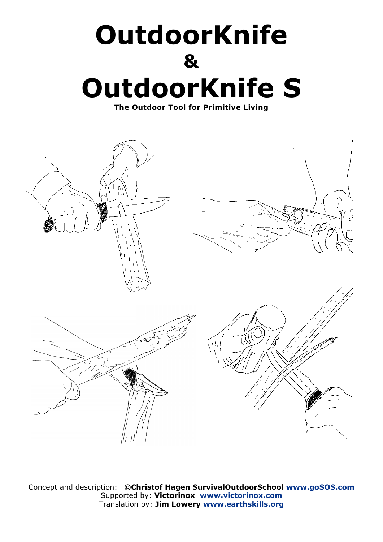# **OutdoorKnife & OutdoorKnife S**

**The Outdoor Tool for Primitive Living**



Concept and description: **©Christof Hagen SurvivalOutdoorSchool [www.goSOS.com](http://www.gosos.com/)** Supported by: **Victorinox [www.victorinox.com](http://www.victorinox.com/)** Translation by: **Jim Lowery [www.earthskills.org](http://www.earthskills.org/)**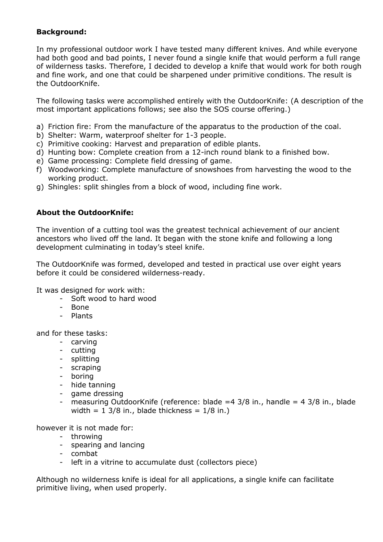# **Background:**

In my professional outdoor work I have tested many different knives. And while everyone had both good and bad points, I never found a single knife that would perform a full range of wilderness tasks. Therefore, I decided to develop a knife that would work for both rough and fine work, and one that could be sharpened under primitive conditions. The result is the OutdoorKnife.

The following tasks were accomplished entirely with the OutdoorKnife: (A description of the most important applications follows; see also the SOS course offering.)

- a) Friction fire: From the manufacture of the apparatus to the production of the coal.
- b) Shelter: Warm, waterproof shelter for 1-3 people.
- c) Primitive cooking: Harvest and preparation of edible plants.
- d) Hunting bow: Complete creation from a 12-inch round blank to a finished bow.
- e) Game processing: Complete field dressing of game.
- f) Woodworking: Complete manufacture of snowshoes from harvesting the wood to the working product.
- g) Shingles: split shingles from a block of wood, including fine work.

# **About the OutdoorKnife:**

The invention of a cutting tool was the greatest technical achievement of our ancient ancestors who lived off the land. It began with the stone knife and following a long development culminating in today's steel knife.

The OutdoorKnife was formed, developed and tested in practical use over eight years before it could be considered wilderness-ready.

It was designed for work with:

- Soft wood to hard wood
- Bone
- Plants

and for these tasks:

- carving
- cutting
- splitting
- scraping
- boring
- hide tanning
- game dressing
- measuring OutdoorKnife (reference: blade  $=4$  3/8 in., handle  $=4$  3/8 in., blade width =  $1 \frac{3}{8}$  in., blade thickness =  $\frac{1}{8}$  in.)

however it is not made for:

- throwing
- spearing and lancing
- combat
- left in a vitrine to accumulate dust (collectors piece)

Although no wilderness knife is ideal for all applications, a single knife can facilitate primitive living, when used properly.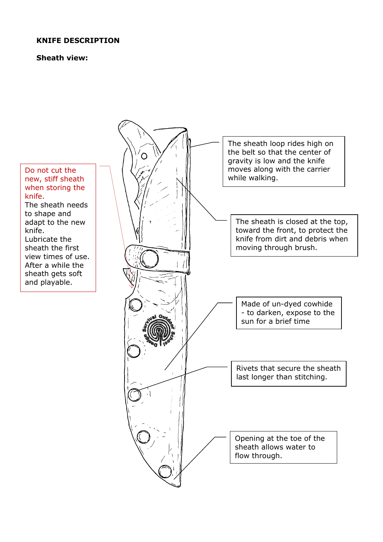# **KNIFE DESCRIPTION**

#### **Sheath view:**



new, stiff sheath when storing the knife. The sheath needs to shape and adapt to the new knife.

Lubricate the sheath the first view times of use. After a while the sheath gets soft and playable.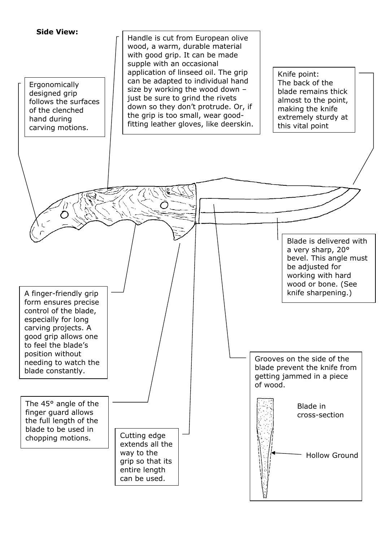**Side View:**

Ergonomically designed grip follows the surfaces of the clenched hand during carving motions.



Knife point: The back of the blade remains thick almost to the point, making the knife extremely sturdy at this vital point

> Blade is delivered with a very sharp, 20° bevel. This angle must be adjusted for working with hard wood or bone. (See knife sharpening.)

A finger-friendly grip form ensures precise control of the blade, especially for long carving projects. A good grip allows one to feel the blade's position without needing to watch the blade constantly.

The 45° angle of the finger guard allows the full length of the blade to be used in chopping motions.

Cutting edge extends all the way to the grip so that its entire length can be used.

Grooves on the side of the blade prevent the knife from getting jammed in a piece of wood.

> Blade in cross-section

> > Hollow Ground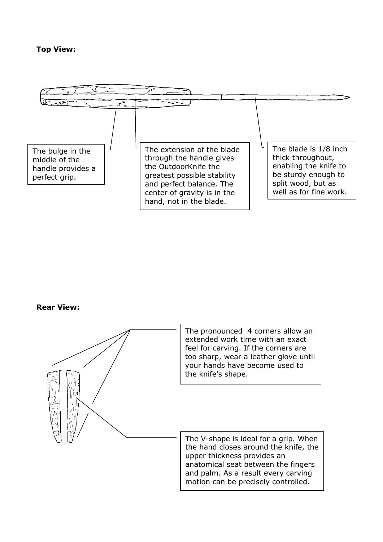## **Top View:**



# **Rear View:**

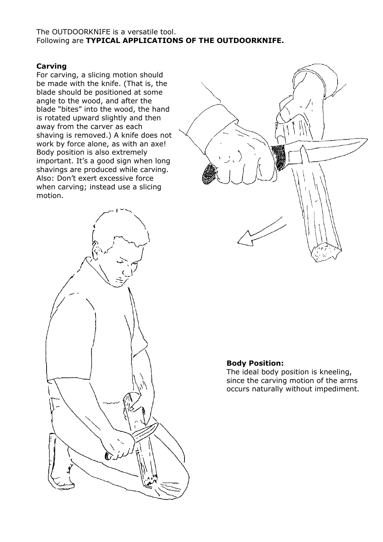#### The OUTDOORKNIFE is a versatile tool. Following are **TYPICAL APPLICATIONS OF THE OUTDOORKNIFE.**

### **Carving**

For carving, a slicing motion should be made with the knife. (That is, the blade should be positioned at some angle to the wood, and after the blade "bites" into the wood, the hand is rotated upward slightly and then away from the carver as each shaving is removed.) A knife does not work by force alone, as with an axe! Body position is also extremely important. It's a good sign when long shavings are produced while carving. Also: Don't exert excessive force when carving; instead use a slicing motion.





#### **Body Position:**

The ideal body position is kneeling, since the carving motion of the arms occurs naturally without impediment.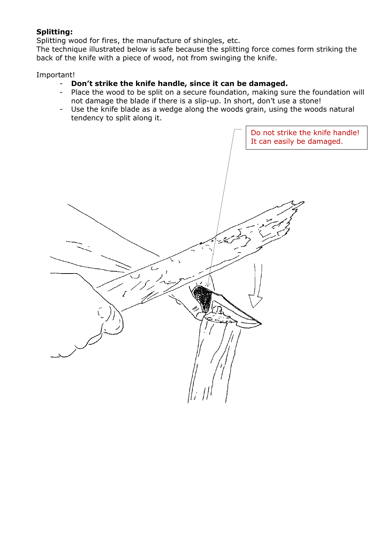# **Splitting:**

Splitting wood for fires, the manufacture of shingles, etc.

The technique illustrated below is safe because the splitting force comes form striking the back of the knife with a piece of wood, not from swinging the knife.

#### Important!

# - **Don't strike the knife handle, since it can be damaged.**

- Place the wood to be split on a secure foundation, making sure the foundation will not damage the blade if there is a slip-up. In short, don't use a stone!
- Use the knife blade as a wedge along the woods grain, using the woods natural tendency to split along it.

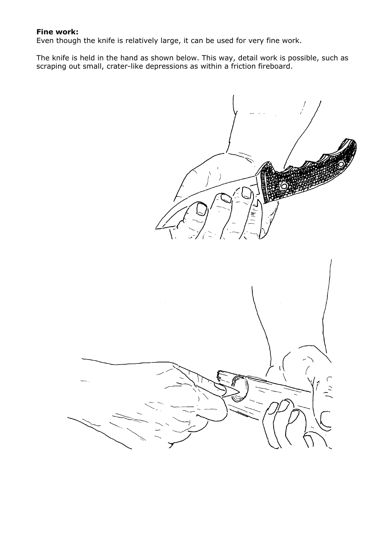#### **Fine work:**

Even though the knife is relatively large, it can be used for very fine work.

The knife is held in the hand as shown below. This way, detail work is possible, such as scraping out small, crater-like depressions as within a friction fireboard.

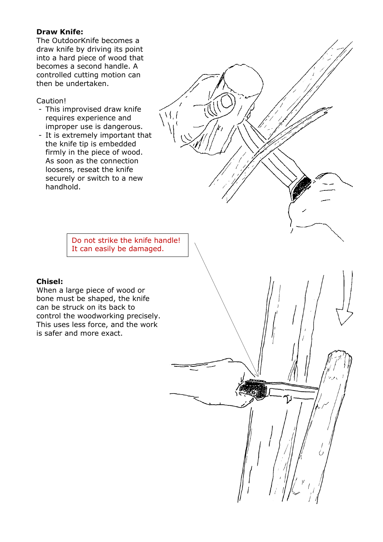# **Draw Knife:**

The OutdoorKnife becomes a draw knife by driving its point into a hard piece of wood that becomes a second handle. A controlled cutting motion can then be undertaken.

#### Caution!

- This improvised draw knife requires experience and improper use is dangerous.
- It is extremely important that the knife tip is embedded firmly in the piece of wood. As soon as the connection loosens, reseat the knife securely or switch to a new handhold.

Do not strike the knife handle! It can easily be damaged.

 $\Delta$ 

# **Chisel:**

When a large piece of wood or bone must be shaped, the knife can be struck on its back to control the woodworking precisely. This uses less force, and the work is safer and more exact.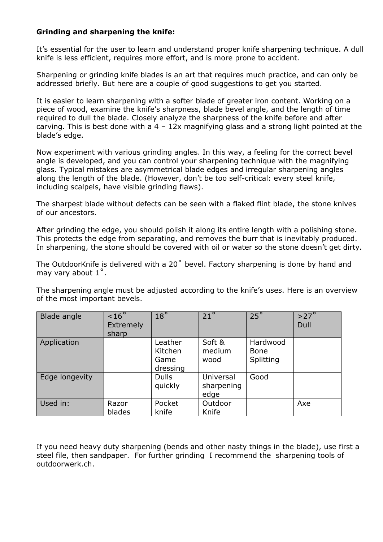# **Grinding and sharpening the knife:**

It's essential for the user to learn and understand proper knife sharpening technique. A dull knife is less efficient, requires more effort, and is more prone to accident.

Sharpening or grinding knife blades is an art that requires much practice, and can only be addressed briefly. But here are a couple of good suggestions to get you started.

It is easier to learn sharpening with a softer blade of greater iron content. Working on a piece of wood, examine the knife's sharpness, blade bevel angle, and the length of time required to dull the blade. Closely analyze the sharpness of the knife before and after carving. This is best done with a  $4 - 12x$  magnifying glass and a strong light pointed at the blade's edge.

Now experiment with various grinding angles. In this way, a feeling for the correct bevel angle is developed, and you can control your sharpening technique with the magnifying glass. Typical mistakes are asymmetrical blade edges and irregular sharpening angles along the length of the blade. (However, don't be too self-critical: every steel knife, including scalpels, have visible grinding flaws).

The sharpest blade without defects can be seen with a flaked flint blade, the stone knives of our ancestors.

After grinding the edge, you should polish it along its entire length with a polishing stone. This protects the edge from separating, and removes the burr that is inevitably produced. In sharpening, the stone should be covered with oil or water so the stone doesn't get dirty.

The OutdoorKnife is delivered with a 20˚ bevel. Factory sharpening is done by hand and may vary about 1˚.

The sharpening angle must be adjusted according to the knife's uses. Here is an overview of the most important bevels.

| Blade angle    | < 16 <sup>°</sup><br>Extremely<br>sharp | $18^\circ$                             | $21^{\circ}$                    | $25^\circ$                           | $>27^\circ$<br>Dull |
|----------------|-----------------------------------------|----------------------------------------|---------------------------------|--------------------------------------|---------------------|
| Application    |                                         | Leather<br>Kitchen<br>Game<br>dressing | Soft &<br>medium<br>wood        | Hardwood<br><b>Bone</b><br>Splitting |                     |
| Edge longevity |                                         | <b>Dulls</b><br>quickly                | Universal<br>sharpening<br>edge | Good                                 |                     |
| Used in:       | Razor<br>blades                         | Pocket<br>knife                        | Outdoor<br>Knife                |                                      | Axe                 |

If you need heavy duty sharpening (bends and other nasty things in the blade), use first a steel file, then sandpaper. For further grinding I recommend the sharpening tools of outdoorwerk.ch.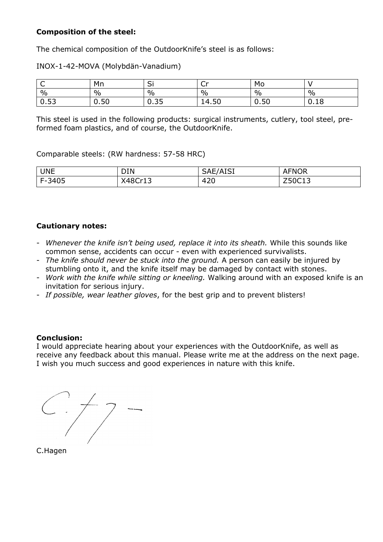# **Composition of the steel:**

The chemical composition of the OutdoorKnife's steel is as follows:

INOX-1-42-MOVA (Molybdän-Vanadium)

| ◡                    | Mn          | $\overline{\phantom{a}}$<br>ا ب                       | <b>Cu</b><br>ັ | Mo            |      |
|----------------------|-------------|-------------------------------------------------------|----------------|---------------|------|
| $\frac{0}{0}$        | $\%$        | $\%$                                                  | $\%$           | $\frac{0}{0}$ | $\%$ |
| $\mathbf{r}$<br>0.53 | 50<br>v. ju | $\mathbf{v}$<br>$\overline{\phantom{0}}$<br><b></b> . | EΩ<br>14.50    | 0.50          | 0.18 |

This steel is used in the following products: surgical instruments, cutlery, tool steel, [pre](http://dict.leo.org/se?lp=ende&p=/Mn4k.&search=pre-formed)[formed](http://dict.leo.org/se?lp=ende&p=/Mn4k.&search=pre-formed) [foam](http://dict.leo.org/se?lp=ende&p=/Mn4k.&search=foam) [plastics,](http://dict.leo.org/se?lp=ende&p=/Mn4k.&search=plastics) and of course, the OutdoorKnife.

Comparable steels: (RW hardness: 57-58 HRC)

| <b>UNE</b> | DIN     | $\Lambda$ <sub>IC</sub><br>SAE/<br>נטבר | <b>AFNOR</b>             |
|------------|---------|-----------------------------------------|--------------------------|
| F-3405     | X48Cr13 | 420                                     | 7.0012<br><u> 290619</u> |

# **Cautionary notes:**

- *Whenever the knife isn't being used, replace it into its sheath.* While this sounds like common sense, accidents can occur - even with experienced survivalists.
- *The knife should never be stuck into the ground.* A person can easily be injured by stumbling onto it, and the knife itself may be damaged by contact with stones.
- *Work with the knife while sitting or kneeling.* Walking around with an exposed knife is an invitation for serious injury.
- *If possible, wear leather gloves*, for the best grip and to prevent blisters!

# **Conclusion:**

I would appreciate hearing about your experiences with the OutdoorKnife, as well as receive any feedback about this manual. Please write me at the address on the next page. I wish you much success and good experiences in nature with this knife.

 $\leftarrow$  +7

C.Hagen